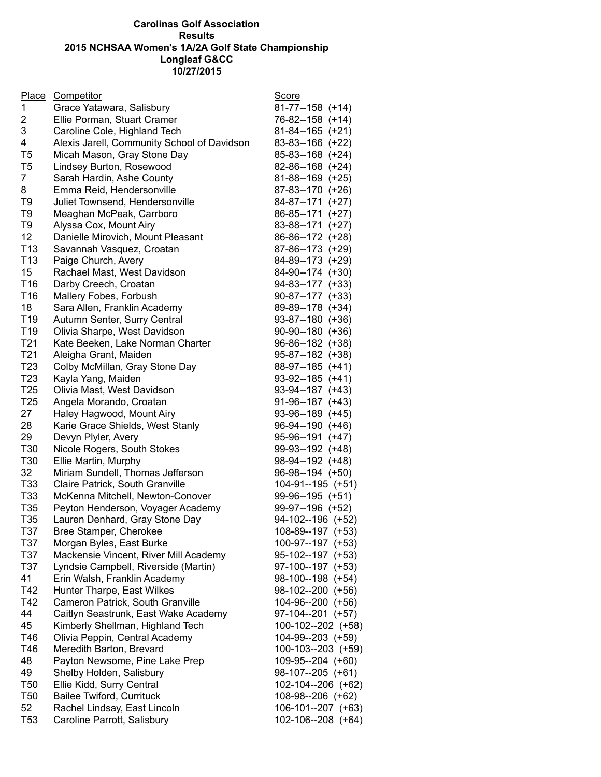## **Carolinas Golf Association Results 2015 NCHSAA Women's 1A/2A Golf State Championship Longleaf G&CC 10/27/2015**

|                 | Place Competitor                            | Score                                     |
|-----------------|---------------------------------------------|-------------------------------------------|
| $\mathbf{1}$    | Grace Yatawara, Salisbury                   | 81-77--158 (+14)                          |
| 2               | Ellie Porman, Stuart Cramer                 | 76-82--158 (+14)                          |
| 3               | Caroline Cole, Highland Tech                | $81 - 84 - 165$ (+21)                     |
| 4               | Alexis Jarell, Community School of Davidson | 83-83--166 (+22)                          |
| T <sub>5</sub>  | Micah Mason, Gray Stone Day                 | 85-83--168 (+24)                          |
| T <sub>5</sub>  | Lindsey Burton, Rosewood                    | 82-86--168 (+24)                          |
| $\overline{7}$  | Sarah Hardin, Ashe County                   | 81-88--169 (+25)                          |
| 8               | Emma Reid, Hendersonville                   | 87-83--170 (+26)                          |
| T <sub>9</sub>  | Juliet Townsend, Hendersonville             | 84-87--171 (+27)                          |
| T <sub>9</sub>  | Meaghan McPeak, Carrboro                    | 86-85--171 (+27)                          |
| T <sub>9</sub>  | Alyssa Cox, Mount Airy                      | 83-88--171 (+27)                          |
| 12              | Danielle Mirovich, Mount Pleasant           | 86-86--172 (+28)                          |
| T <sub>13</sub> | Savannah Vasquez, Croatan                   | 87-86--173 (+29)                          |
| T <sub>13</sub> | Paige Church, Avery                         | 84-89--173 (+29)                          |
| 15              | Rachael Mast, West Davidson                 | 84-90--174 (+30)                          |
| T16             | Darby Creech, Croatan                       | 94-83--177 (+33)                          |
| T16             | Mallery Fobes, Forbush                      | $90-87-177$ (+33)                         |
| 18              | Sara Allen, Franklin Academy                | 89-89--178 (+34)                          |
| T <sub>19</sub> | Autumn Senter, Surry Central                | $93-87-180 (+36)$                         |
| T <sub>19</sub> | Olivia Sharpe, West Davidson                | $90-90-180 (+36)$                         |
| T <sub>21</sub> | Kate Beeken, Lake Norman Charter            | 96-86--182 (+38)                          |
| T <sub>21</sub> |                                             |                                           |
| T <sub>23</sub> | Aleigha Grant, Maiden                       | $95 - 87 - 182$ (+38)<br>88-97--185 (+41) |
| T <sub>23</sub> | Colby McMillan, Gray Stone Day              |                                           |
|                 | Kayla Yang, Maiden                          | 93-92--185 (+41)                          |
| T <sub>25</sub> | Olivia Mast, West Davidson                  | 93-94--187 (+43)                          |
| T <sub>25</sub> | Angela Morando, Croatan                     | 91-96--187 (+43)                          |
| 27              | Haley Hagwood, Mount Airy                   | 93-96--189 (+45)                          |
| 28              | Karie Grace Shields, West Stanly            | 96-94--190 (+46)                          |
| 29              | Devyn Plyler, Avery                         | 95-96--191 (+47)                          |
| T30             | Nicole Rogers, South Stokes                 | 99-93--192 (+48)                          |
| T30             | Ellie Martin, Murphy                        | 98-94--192 (+48)                          |
| 32              | Miriam Sundell, Thomas Jefferson            | 96-98--194 (+50)                          |
| T <sub>33</sub> | Claire Patrick, South Granville             | 104-91--195 (+51)                         |
| T33             | McKenna Mitchell, Newton-Conover            | 99-96--195 (+51)                          |
| T <sub>35</sub> | Peyton Henderson, Voyager Academy           | 99-97--196 (+52)                          |
| T <sub>35</sub> | Lauren Denhard, Gray Stone Day              | 94-102--196 (+52)                         |
| T37             | Bree Stamper, Cherokee                      | 108-89--197 (+53)                         |
| T37             | Morgan Byles, East Burke                    | 100-97--197 (+53)                         |
| T37             | Mackensie Vincent, River Mill Academy       | 95-102--197 (+53)                         |
| T37             | Lyndsie Campbell, Riverside (Martin)        | 97-100--197 (+53)                         |
| 41              | Erin Walsh, Franklin Academy                | 98-100--198 (+54)                         |
| T42             | Hunter Tharpe, East Wilkes                  | 98-102--200 (+56)                         |
| T42             | Cameron Patrick, South Granville            | 104-96--200 (+56)                         |
| 44              | Caitlyn Seastrunk, East Wake Academy        | 97-104--201 (+57)                         |
| 45              | Kimberly Shellman, Highland Tech            | 100-102--202 (+58)                        |
| T46             | Olivia Peppin, Central Academy              | 104-99--203 (+59)                         |
| T46             | Meredith Barton, Brevard                    | 100-103--203 (+59)                        |
| 48              | Payton Newsome, Pine Lake Prep              | 109-95--204 (+60)                         |
| 49              | Shelby Holden, Salisbury                    | $98-107-205$ (+61)                        |
| T <sub>50</sub> | Ellie Kidd, Surry Central                   | 102-104--206 (+62)                        |
| T <sub>50</sub> | Bailee Twiford, Currituck                   | 108-98--206 (+62)                         |
| 52              | Rachel Lindsay, East Lincoln                | 106-101--207 (+63)                        |
| T <sub>53</sub> | Caroline Parrott, Salisbury                 | 102-106--208 (+64)                        |